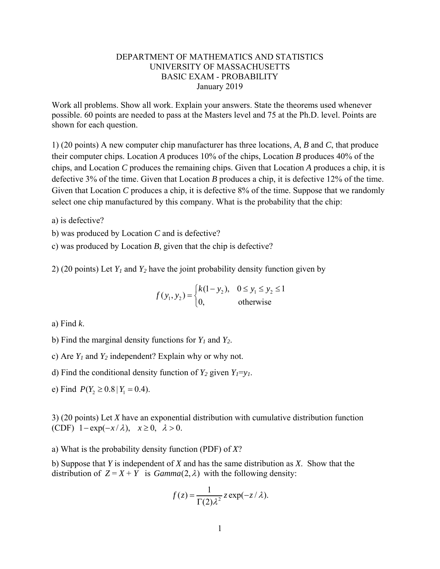## DEPARTMENT OF MATHEMATICS AND STATISTICS UNIVERSITY OF MASSACHUSETTS BASIC EXAM - PROBABILITY January 2019

Work all problems. Show all work. Explain your answers. State the theorems used whenever possible. 60 points are needed to pass at the Masters level and 75 at the Ph.D. level. Points are shown for each question.

1) (20 points) A new computer chip manufacturer has three locations, *A*, *B* and *C*, that produce their computer chips. Location *A* produces 10% of the chips, Location *B* produces 40% of the chips, and Location *C* produces the remaining chips. Given that Location *A* produces a chip, it is defective 3% of the time. Given that Location *B* produces a chip, it is defective 12% of the time. Given that Location *C* produces a chip, it is defective 8% of the time. Suppose that we randomly select one chip manufactured by this company. What is the probability that the chip:

a) is defective?

b) was produced by Location *C* and is defective?

c) was produced by Location *B*, given that the chip is defective?

2) (20 points) Let  $Y_1$  and  $Y_2$  have the joint probability density function given by

$$
f(y_1, y_2) = \begin{cases} k(1 - y_2), & 0 \le y_1 \le y_2 \le 1\\ 0, & \text{otherwise} \end{cases}
$$

a) Find *k*.

- b) Find the marginal density functions for *Y1* and *Y2*.
- c) Are  $Y_1$  and  $Y_2$  independent? Explain why or why not.

d) Find the conditional density function of  $Y_2$  given  $Y_1 = y_1$ .

e) Find  $P(Y_2 \ge 0.8 | Y_1 = 0.4)$ .

3) (20 points) Let *X* have an exponential distribution with cumulative distribution function (CDF)  $1 - \exp(-x/\lambda)$ ,  $x \ge 0$ ,  $\lambda > 0$ .

a) What is the probability density function (PDF) of *X*?

b) Suppose that *Y* is independent of *X* and has the same distribution as *X*. Show that the distribution of  $Z = X + Y$  is  $Gamma(2, \lambda)$  with the following density:

$$
f(z) = \frac{1}{\Gamma(2)\lambda^2} z \exp(-z/\lambda).
$$